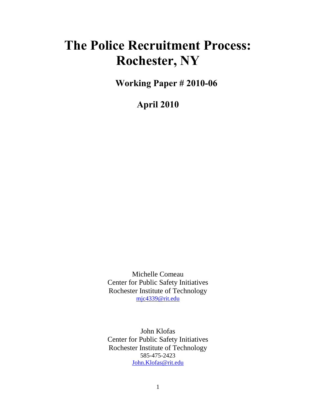## **The Police Recruitment Process: Rochester, NY**

**Working Paper # 2010-06**

**April 2010** 

Michelle Comeau Center for Public Safety Initiatives Rochester Institute of Technology [mjc4339@rit.edu](mailto:mjc4339@rit.edu)

John Klofas Center for Public Safety Initiatives Rochester Institute of Technology 585-475-2423 [John.Klofas@rit.edu](mailto:John.Klofas@rit.edu)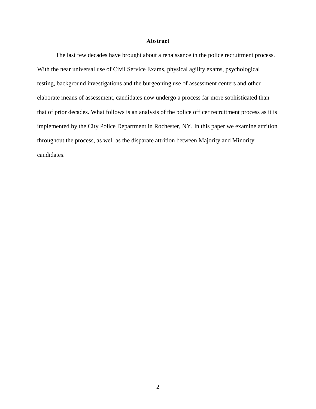## **Abstract**

The last few decades have brought about a renaissance in the police recruitment process. With the near universal use of Civil Service Exams, physical agility exams, psychological testing, background investigations and the burgeoning use of assessment centers and other elaborate means of assessment, candidates now undergo a process far more sophisticated than that of prior decades. What follows is an analysis of the police officer recruitment process as it is implemented by the City Police Department in Rochester, NY. In this paper we examine attrition throughout the process, as well as the disparate attrition between Majority and Minority candidates.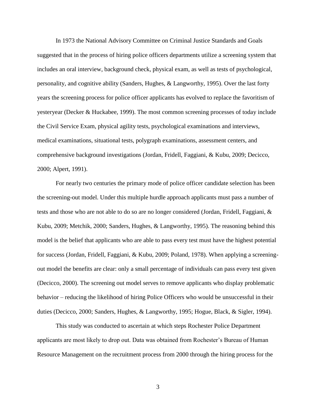In 1973 the National Advisory Committee on Criminal Justice Standards and Goals suggested that in the process of hiring police officers departments utilize a screening system that includes an oral interview, background check, physical exam, as well as tests of psychological, personality, and cognitive ability (Sanders, Hughes, & Langworthy, 1995). Over the last forty years the screening process for police officer applicants has evolved to replace the favoritism of yesteryear (Decker & Huckabee, 1999). The most common screening processes of today include the Civil Service Exam, physical agility tests, psychological examinations and interviews, medical examinations, situational tests, polygraph examinations, assessment centers, and comprehensive background investigations (Jordan, Fridell, Faggiani, & Kubu, 2009; Decicco, 2000; Alpert, 1991).

 For nearly two centuries the primary mode of police officer candidate selection has been the screening-out model. Under this multiple hurdle approach applicants must pass a number of tests and those who are not able to do so are no longer considered (Jordan, Fridell, Faggiani, & Kubu, 2009; Metchik, 2000; Sanders, Hughes, & Langworthy, 1995). The reasoning behind this model is the belief that applicants who are able to pass every test must have the highest potential for success (Jordan, Fridell, Faggiani, & Kubu, 2009; Poland, 1978). When applying a screeningout model the benefits are clear: only a small percentage of individuals can pass every test given (Decicco, 2000). The screening out model serves to remove applicants who display problematic behavior – reducing the likelihood of hiring Police Officers who would be unsuccessful in their duties (Decicco, 2000; Sanders, Hughes, & Langworthy, 1995; Hogue, Black, & Sigler, 1994).

 This study was conducted to ascertain at which steps Rochester Police Department applicants are most likely to drop out. Data was obtained from Rochester's Bureau of Human Resource Management on the recruitment process from 2000 through the hiring process for the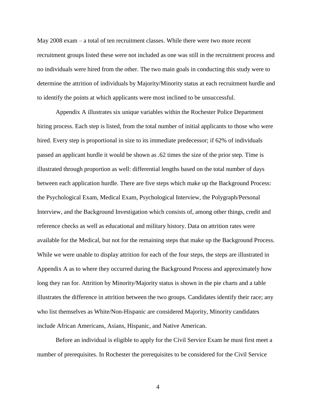May 2008 exam – a total of ten recruitment classes. While there were two more recent recruitment groups listed these were not included as one was still in the recruitment process and no individuals were hired from the other. The two main goals in conducting this study were to determine the attrition of individuals by Majority/Minority status at each recruitment hurdle and to identify the points at which applicants were most inclined to be unsuccessful.

 Appendix A illustrates six unique variables within the Rochester Police Department hiring process. Each step is listed, from the total number of initial applicants to those who were hired. Every step is proportional in size to its immediate predecessor; if 62% of individuals passed an applicant hurdle it would be shown as .62 times the size of the prior step. Time is illustrated through proportion as well: differential lengths based on the total number of days between each application hurdle. There are five steps which make up the Background Process: the Psychological Exam, Medical Exam, Psychological Interview, the Polygraph/Personal Interview, and the Background Investigation which consists of, among other things, credit and reference checks as well as educational and military history. Data on attrition rates were available for the Medical, but not for the remaining steps that make up the Background Process. While we were unable to display attrition for each of the four steps, the steps are illustrated in Appendix A as to where they occurred during the Background Process and approximately how long they ran for. Attrition by Minority/Majority status is shown in the pie charts and a table illustrates the difference in attrition between the two groups. Candidates identify their race; any who list themselves as White/Non-Hispanic are considered Majority, Minority candidates include African Americans, Asians, Hispanic, and Native American.

 Before an individual is eligible to apply for the Civil Service Exam he must first meet a number of prerequisites. In Rochester the prerequisites to be considered for the Civil Service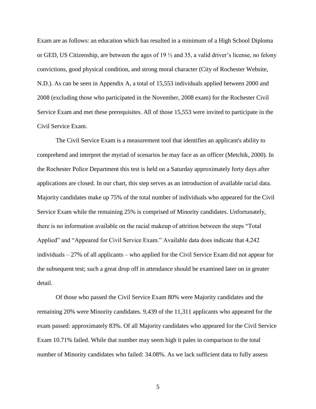Exam are as follows: an education which has resulted in a minimum of a High School Diploma or GED, US Citizenship, are between the ages of 19 ½ and 35, a valid driver's license, no felony convictions, good physical condition, and strong moral character (City of Rochester Website, N.D.). As can be seen in Appendix A, a total of 15,553 individuals applied between 2000 and 2008 (excluding those who participated in the November, 2008 exam) for the Rochester Civil Service Exam and met these prerequisites. All of those 15,553 were invited to participate in the Civil Service Exam.

 The Civil Service Exam is a measurement tool that identifies an applicant's ability to comprehend and interpret the myriad of scenarios he may face as an officer (Metchik, 2000). In the Rochester Police Department this test is held on a Saturday approximately forty days after applications are closed. In our chart, this step serves as an introduction of available racial data. Majority candidates make up 75% of the total number of individuals who appeared for the Civil Service Exam while the remaining 25% is comprised of Minority candidates. Unfortunately, there is no information available on the racial makeup of attrition between the steps "Total Applied" and "Appeared for Civil Service Exam." Available data does indicate that 4,242 individuals – 27% of all applicants – who applied for the Civil Service Exam did not appear for the subsequent test; such a great drop off in attendance should be examined later on in greater detail.

 Of those who passed the Civil Service Exam 80% were Majority candidates and the remaining 20% were Minority candidates. 9,439 of the 11,311 applicants who appeared for the exam passed: approximately 83%. Of all Majority candidates who appeared for the Civil Service Exam 10.71% failed. While that number may seem high it pales in comparison to the total number of Minority candidates who failed: 34.08%. As we lack sufficient data to fully assess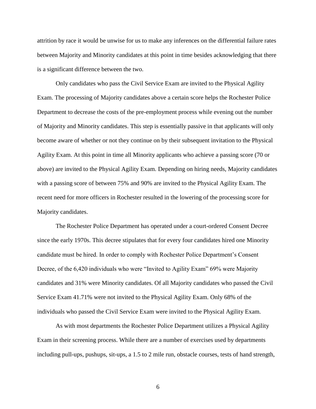attrition by race it would be unwise for us to make any inferences on the differential failure rates between Majority and Minority candidates at this point in time besides acknowledging that there is a significant difference between the two.

Only candidates who pass the Civil Service Exam are invited to the Physical Agility Exam. The processing of Majority candidates above a certain score helps the Rochester Police Department to decrease the costs of the pre-employment process while evening out the number of Majority and Minority candidates. This step is essentially passive in that applicants will only become aware of whether or not they continue on by their subsequent invitation to the Physical Agility Exam. At this point in time all Minority applicants who achieve a passing score (70 or above) are invited to the Physical Agility Exam. Depending on hiring needs, Majority candidates with a passing score of between 75% and 90% are invited to the Physical Agility Exam. The recent need for more officers in Rochester resulted in the lowering of the processing score for Majority candidates.

The Rochester Police Department has operated under a court-ordered Consent Decree since the early 1970s. This decree stipulates that for every four candidates hired one Minority candidate must be hired. In order to comply with Rochester Police Department's Consent Decree, of the 6,420 individuals who were "Invited to Agility Exam" 69% were Majority candidates and 31% were Minority candidates. Of all Majority candidates who passed the Civil Service Exam 41.71% were not invited to the Physical Agility Exam. Only 68% of the individuals who passed the Civil Service Exam were invited to the Physical Agility Exam.

As with most departments the Rochester Police Department utilizes a Physical Agility Exam in their screening process. While there are a number of exercises used by departments including pull-ups, pushups, sit-ups, a 1.5 to 2 mile run, obstacle courses, tests of hand strength,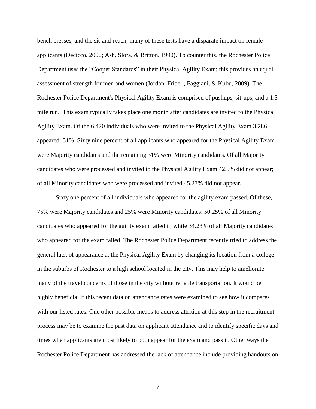bench presses, and the sit-and-reach; many of these tests have a disparate impact on female applicants (Decicco, 2000; Ash, Slora, & Britton, 1990). To counter this, the Rochester Police Department uses the "Cooper Standards" in their Physical Agility Exam; this provides an equal assessment of strength for men and women (Jordan, Fridell, Faggiani, & Kubu, 2009). The Rochester Police Department's Physical Agility Exam is comprised of pushups, sit-ups, and a 1.5 mile run. This exam typically takes place one month after candidates are invited to the Physical Agility Exam. Of the 6,420 individuals who were invited to the Physical Agility Exam 3,286 appeared: 51%. Sixty nine percent of all applicants who appeared for the Physical Agility Exam were Majority candidates and the remaining 31% were Minority candidates. Of all Majority candidates who were processed and invited to the Physical Agility Exam 42.9% did not appear; of all Minority candidates who were processed and invited 45.27% did not appear.

 Sixty one percent of all individuals who appeared for the agility exam passed. Of these, 75% were Majority candidates and 25% were Minority candidates. 50.25% of all Minority candidates who appeared for the agility exam failed it, while 34.23% of all Majority candidates who appeared for the exam failed. The Rochester Police Department recently tried to address the general lack of appearance at the Physical Agility Exam by changing its location from a college in the suburbs of Rochester to a high school located in the city. This may help to ameliorate many of the travel concerns of those in the city without reliable transportation. It would be highly beneficial if this recent data on attendance rates were examined to see how it compares with our listed rates. One other possible means to address attrition at this step in the recruitment process may be to examine the past data on applicant attendance and to identify specific days and times when applicants are most likely to both appear for the exam and pass it. Other ways the Rochester Police Department has addressed the lack of attendance include providing handouts on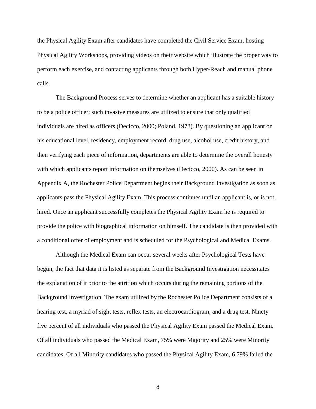the Physical Agility Exam after candidates have completed the Civil Service Exam, hosting Physical Agility Workshops, providing videos on their website which illustrate the proper way to perform each exercise, and contacting applicants through both Hyper-Reach and manual phone calls.

 The Background Process serves to determine whether an applicant has a suitable history to be a police officer; such invasive measures are utilized to ensure that only qualified individuals are hired as officers (Decicco, 2000; Poland, 1978). By questioning an applicant on his educational level, residency, employment record, drug use, alcohol use, credit history, and then verifying each piece of information, departments are able to determine the overall honesty with which applicants report information on themselves (Decicco, 2000). As can be seen in Appendix A, the Rochester Police Department begins their Background Investigation as soon as applicants pass the Physical Agility Exam. This process continues until an applicant is, or is not, hired. Once an applicant successfully completes the Physical Agility Exam he is required to provide the police with biographical information on himself. The candidate is then provided with a conditional offer of employment and is scheduled for the Psychological and Medical Exams.

Although the Medical Exam can occur several weeks after Psychological Tests have begun, the fact that data it is listed as separate from the Background Investigation necessitates the explanation of it prior to the attrition which occurs during the remaining portions of the Background Investigation. The exam utilized by the Rochester Police Department consists of a hearing test, a myriad of sight tests, reflex tests, an electrocardiogram, and a drug test. Ninety five percent of all individuals who passed the Physical Agility Exam passed the Medical Exam. Of all individuals who passed the Medical Exam, 75% were Majority and 25% were Minority candidates. Of all Minority candidates who passed the Physical Agility Exam, 6.79% failed the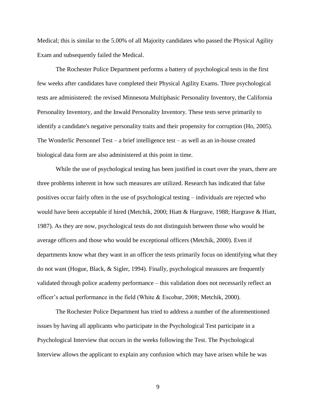Medical; this is similar to the 5.00% of all Majority candidates who passed the Physical Agility Exam and subsequently failed the Medical.

 The Rochester Police Department performs a battery of psychological tests in the first few weeks after candidates have completed their Physical Agility Exams. Three psychological tests are administered: the revised Minnesota Multiphasic Personality Inventory, the California Personality Inventory, and the Inwald Personality Inventory. These tests serve primarily to identify a candidate's negative personality traits and their propensity for corruption (Ho, 2005). The Wonderlic Personnel Test – a brief intelligence test – as well as an in-house created biological data form are also administered at this point in time.

 While the use of psychological testing has been justified in court over the years, there are three problems inherent in how such measures are utilized. Research has indicated that false positives occur fairly often in the use of psychological testing – individuals are rejected who would have been acceptable if hired (Metchik, 2000; Hiatt & Hargrave, 1988; Hargrave & Hiatt, 1987). As they are now, psychological tests do not distinguish between those who would be average officers and those who would be exceptional officers (Metchik, 2000). Even if departments know what they want in an officer the tests primarily focus on identifying what they do not want (Hogue, Black, & Sigler, 1994). Finally, psychological measures are frequently validated through police academy performance – this validation does not necessarily reflect an officer's actual performance in the field (White & Escobar, 2008; Metchik, 2000).

 The Rochester Police Department has tried to address a number of the aforementioned issues by having all applicants who participate in the Psychological Test participate in a Psychological Interview that occurs in the weeks following the Test. The Psychological Interview allows the applicant to explain any confusion which may have arisen while he was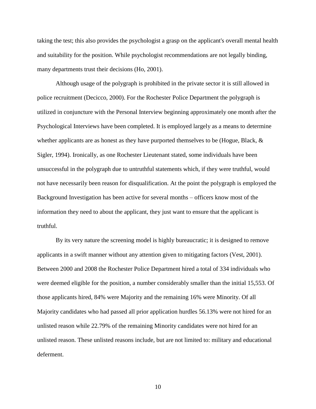taking the test; this also provides the psychologist a grasp on the applicant's overall mental health and suitability for the position. While psychologist recommendations are not legally binding, many departments trust their decisions (Ho, 2001).

 Although usage of the polygraph is prohibited in the private sector it is still allowed in police recruitment (Decicco, 2000). For the Rochester Police Department the polygraph is utilized in conjuncture with the Personal Interview beginning approximately one month after the Psychological Interviews have been completed. It is employed largely as a means to determine whether applicants are as honest as they have purported themselves to be (Hogue, Black,  $\&$ Sigler, 1994). Ironically, as one Rochester Lieutenant stated, some individuals have been unsuccessful in the polygraph due to untruthful statements which, if they were truthful, would not have necessarily been reason for disqualification. At the point the polygraph is employed the Background Investigation has been active for several months – officers know most of the information they need to about the applicant, they just want to ensure that the applicant is truthful.

 By its very nature the screening model is highly bureaucratic; it is designed to remove applicants in a swift manner without any attention given to mitigating factors (Vest, 2001). Between 2000 and 2008 the Rochester Police Department hired a total of 334 individuals who were deemed eligible for the position, a number considerably smaller than the initial 15,553. Of those applicants hired, 84% were Majority and the remaining 16% were Minority. Of all Majority candidates who had passed all prior application hurdles 56.13% were not hired for an unlisted reason while 22.79% of the remaining Minority candidates were not hired for an unlisted reason. These unlisted reasons include, but are not limited to: military and educational deferment.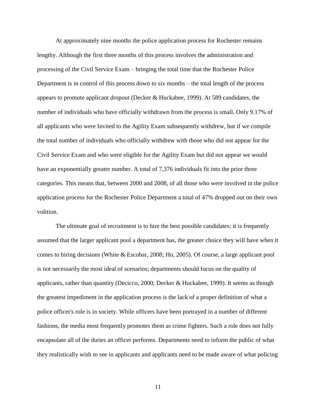At approximately nine months the police application process for Rochester remains lengthy. Although the first three months of this process involves the administration and processing of the Civil Service Exam – bringing the total time that the Rochester Police Department is in control of this process down to six months – the total length of the process appears to promote applicant dropout (Decker & Huckabee, 1999). At 589 candidates, the number of individuals who have officially withdrawn from the process is small. Only 9.17% of all applicants who were Invited to the Agility Exam subsequently withdrew, but if we compile the total number of individuals who officially withdrew with those who did not appear for the Civil Service Exam and who were eligible for the Agility Exam but did not appear we would have an exponentially greater number. A total of 7,376 individuals fit into the prior three categories. This means that, between 2000 and 2008, of all those who were involved in the police application process for the Rochester Police Department a total of 47% dropped out on their own volition.

 The ultimate goal of recruitment is to hire the best possible candidates; it is frequently assumed that the larger applicant pool a department has, the greater choice they will have when it comes to hiring decisions (White & Escobar, 2008; Ho, 2005). Of course, a large applicant pool is not necessarily the most ideal of scenarios; departments should focus on the quality of applicants, rather than quantity (Decicco, 2000; Decker & Huckabee, 1999). It seems as though the greatest impediment in the application process is the lack of a proper definition of what a police officer's role is in society. While officers have been portrayed in a number of different fashions, the media most frequently promotes them as crime fighters. Such a role does not fully encapsulate all of the duties an officer performs. Departments need to inform the public of what they realistically wish to see in applicants and applicants need to be made aware of what policing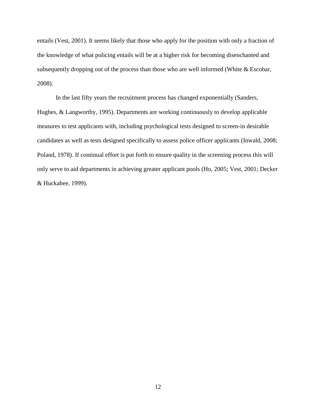entails (Vest, 2001). It seems likely that those who apply for the position with only a fraction of the knowledge of what policing entails will be at a higher risk for becoming disenchanted and subsequently dropping out of the process than those who are well informed (White & Escobar, 2008).

 In the last fifty years the recruitment process has changed exponentially (Sanders, Hughes, & Langworthy, 1995). Departments are working continuously to develop applicable measures to test applicants with, including psychological tests designed to screen-in desirable candidates as well as tests designed specifically to assess police officer applicants (Inwald, 2008; Poland, 1978). If continual effort is put forth to ensure quality in the screening process this will only serve to aid departments in achieving greater applicant pools (Ho, 2005; Vest, 2001; Decker & Huckabee, 1999).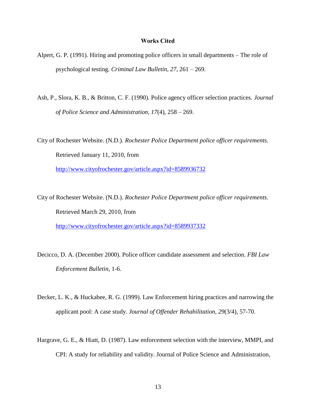## **Works Cited**

- Alpert, G. P. (1991). Hiring and promoting police officers in small departments The role of psychological testing. *Criminal Law Bulletin, 27*, 261 – 269.
- Ash, P., Slora, K. B., & Britton, C. F. (1990). Police agency officer selection practices. *Journal of Police Science and Administration, 17*(4), 258 – 269.

City of Rochester Website. (N.D.). *Rochester Police Department police officer requirements*. Retrieved January 11, 2010, from <http://www.cityofrochester.gov/article.aspx?id=8589936732>

City of Rochester Website. (N.D.). *Rochester Police Department police officer requirements*. Retrieved March 29, 2010, from <http://www.cityofrochester.gov/article.aspx?id=8589937332>

- Decicco, D. A. (December 2000). Police officer candidate assessment and selection. *FBI Law Enforcement Bulletin,* 1-6.
- Decker, L. K., & Huckabee, R. G. (1999). Law Enforcement hiring practices and narrowing the applicant pool: A case study. *Journal of Offender Rehabilitation, 29*(3/4), 57-70.
- Hargrave, G. E., & Hiatt, D. (1987). Law enforcement selection with the interview, MMPI, and CPI: A study for reliability and validity. Journal of Police Science and Administration,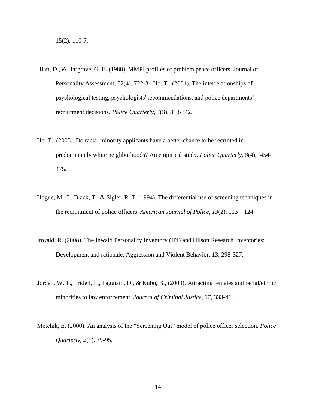- Hiatt, D., & Hargrave, G. E. (1988). MMPI profiles of problem peace officers. Journal of Personality Assessment, 52(4), 722-31.Ho. T., (2001). The interrelationships of psychological testing, psychologists' recommendations, and police departments' recruitment decisions. *Police Quarterly, 4*(3), 318-342.
- Ho. T., (2005). Do racial minority applicants have a better chance to be recruited in predominately white neighborhoods? An empirical study. *Police Quarterly, 8*(4), 454- 475.
- Hogue, M. C., Black, T., & Sigler, R. T. (1994). The differential use of screening techniques in the recruitment of police officers. *American Journal of Police, 13*(2), 113 – 124.
- Inwald, R. (2008). The Inwald Personality Inventory (IPI) and Hilson Research Inventories: Development and rationale. Aggression and Violent Behavior, 13, 298-327.
- Jordan, W. T., Fridell, L., Faggiani, D., & Kubu, B., (2009). Attracting females and racial/ethnic minorities to law enforcement. *Journal of Criminal Justice, 37*, 333-41.
- Metchik, E. (2000). An analysis of the "Screening Out" model of police officer selection. *Police Quarterly, 2*(1), 79-95.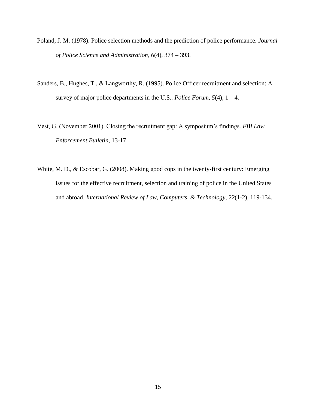- Poland, J. M. (1978). Police selection methods and the prediction of police performance. *Journal of Police Science and Administration*, *6*(4), 374 – 393.
- Sanders, B., Hughes, T., & Langworthy, R. (1995). Police Officer recruitment and selection: A survey of major police departments in the U.S.. *Police Forum,*  $5(4)$ ,  $1 - 4$ .
- Vest, G. (November 2001). Closing the recruitment gap: A symposium's findings. *FBI Law Enforcement Bulletin,* 13-17.
- White, M. D., & Escobar, G. (2008). Making good cops in the twenty-first century: Emerging issues for the effective recruitment, selection and training of police in the United States and abroad. *International Review of Law, Computers, & Technology, 22*(1-2), 119-134.